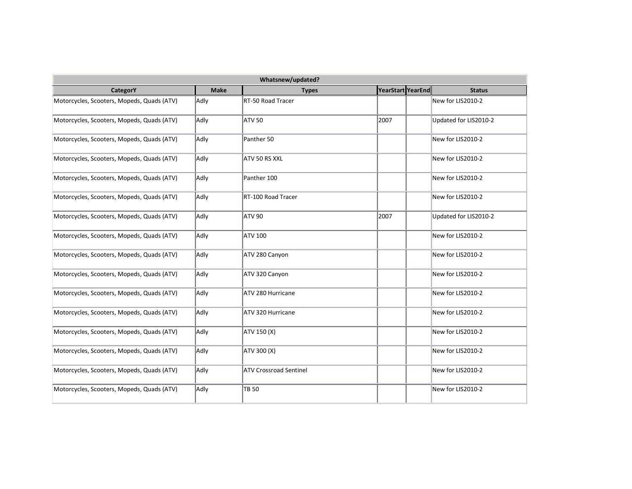| Whatsnew/updated?                          |             |                               |                   |  |                       |  |  |
|--------------------------------------------|-------------|-------------------------------|-------------------|--|-----------------------|--|--|
| <b>CategorY</b>                            | <b>Make</b> | <b>Types</b>                  | YearStart YearEnd |  | <b>Status</b>         |  |  |
| Motorcycles, Scooters, Mopeds, Quads (ATV) | Adly        | RT-50 Road Tracer             |                   |  | New for LIS2010-2     |  |  |
| Motorcycles, Scooters, Mopeds, Quads (ATV) | Adly        | ATV 50                        | 2007              |  | Updated for LIS2010-2 |  |  |
| Motorcycles, Scooters, Mopeds, Quads (ATV) | Adly        | Panther 50                    |                   |  | New for LIS2010-2     |  |  |
| Motorcycles, Scooters, Mopeds, Quads (ATV) | Adly        | ATV 50 RS XXL                 |                   |  | New for LIS2010-2     |  |  |
| Motorcycles, Scooters, Mopeds, Quads (ATV) | Adly        | Panther 100                   |                   |  | New for LIS2010-2     |  |  |
| Motorcycles, Scooters, Mopeds, Quads (ATV) | Adly        | RT-100 Road Tracer            |                   |  | New for LIS2010-2     |  |  |
| Motorcycles, Scooters, Mopeds, Quads (ATV) | Adly        | ATV 90                        | 2007              |  | Updated for LIS2010-2 |  |  |
| Motorcycles, Scooters, Mopeds, Quads (ATV) | Adly        | ATV 100                       |                   |  | New for LIS2010-2     |  |  |
| Motorcycles, Scooters, Mopeds, Quads (ATV) | Adly        | ATV 280 Canyon                |                   |  | New for LIS2010-2     |  |  |
| Motorcycles, Scooters, Mopeds, Quads (ATV) | Adly        | ATV 320 Canyon                |                   |  | New for LIS2010-2     |  |  |
| Motorcycles, Scooters, Mopeds, Quads (ATV) | Adly        | ATV 280 Hurricane             |                   |  | New for LIS2010-2     |  |  |
| Motorcycles, Scooters, Mopeds, Quads (ATV) | Adly        | ATV 320 Hurricane             |                   |  | New for LIS2010-2     |  |  |
| Motorcycles, Scooters, Mopeds, Quads (ATV) | Adly        | ATV 150 (X)                   |                   |  | New for LIS2010-2     |  |  |
| Motorcycles, Scooters, Mopeds, Quads (ATV) | Adly        | ATV 300 (X)                   |                   |  | New for LIS2010-2     |  |  |
| Motorcycles, Scooters, Mopeds, Quads (ATV) | Adly        | <b>ATV Crossroad Sentinel</b> |                   |  | New for LIS2010-2     |  |  |
| Motorcycles, Scooters, Mopeds, Quads (ATV) | Adly        | <b>TB 50</b>                  |                   |  | New for LIS2010-2     |  |  |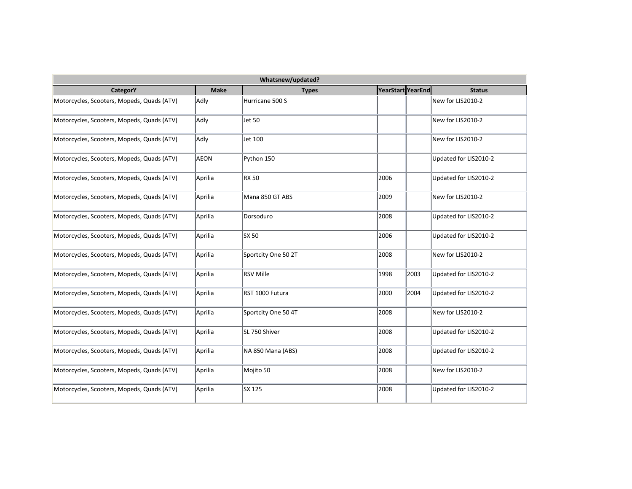| Whatsnew/updated?                          |             |                     |                   |      |                       |  |  |
|--------------------------------------------|-------------|---------------------|-------------------|------|-----------------------|--|--|
| CategorY                                   | <b>Make</b> | <b>Types</b>        | YearStart YearEnd |      | <b>Status</b>         |  |  |
| Motorcycles, Scooters, Mopeds, Quads (ATV) | Adly        | Hurricane 500 S     |                   |      | New for LIS2010-2     |  |  |
| Motorcycles, Scooters, Mopeds, Quads (ATV) | Adly        | Jet 50              |                   |      | New for LIS2010-2     |  |  |
| Motorcycles, Scooters, Mopeds, Quads (ATV) | Adly        | Jet 100             |                   |      | New for LIS2010-2     |  |  |
| Motorcycles, Scooters, Mopeds, Quads (ATV) | <b>AEON</b> | Python 150          |                   |      | Updated for LIS2010-2 |  |  |
| Motorcycles, Scooters, Mopeds, Quads (ATV) | Aprilia     | <b>RX 50</b>        | 2006              |      | Updated for LIS2010-2 |  |  |
| Motorcycles, Scooters, Mopeds, Quads (ATV) | Aprilia     | Mana 850 GT ABS     | 2009              |      | New for LIS2010-2     |  |  |
| Motorcycles, Scooters, Mopeds, Quads (ATV) | Aprilia     | Dorsoduro           | 2008              |      | Updated for LIS2010-2 |  |  |
| Motorcycles, Scooters, Mopeds, Quads (ATV) | Aprilia     | SX 50               | 2006              |      | Updated for LIS2010-2 |  |  |
| Motorcycles, Scooters, Mopeds, Quads (ATV) | Aprilia     | Sportcity One 50 2T | 2008              |      | New for LIS2010-2     |  |  |
| Motorcycles, Scooters, Mopeds, Quads (ATV) | Aprilia     | <b>RSV Mille</b>    | 1998              | 2003 | Updated for LIS2010-2 |  |  |
| Motorcycles, Scooters, Mopeds, Quads (ATV) | Aprilia     | RST 1000 Futura     | 2000              | 2004 | Updated for LIS2010-2 |  |  |
| Motorcycles, Scooters, Mopeds, Quads (ATV) | Aprilia     | Sportcity One 50 4T | 2008              |      | New for LIS2010-2     |  |  |
| Motorcycles, Scooters, Mopeds, Quads (ATV) | Aprilia     | SL 750 Shiver       | 2008              |      | Updated for LIS2010-2 |  |  |
| Motorcycles, Scooters, Mopeds, Quads (ATV) | Aprilia     | NA 850 Mana (ABS)   | 2008              |      | Updated for LIS2010-2 |  |  |
| Motorcycles, Scooters, Mopeds, Quads (ATV) | Aprilia     | Mojito 50           | 2008              |      | New for LIS2010-2     |  |  |
| Motorcycles, Scooters, Mopeds, Quads (ATV) | Aprilia     | SX 125              | 2008              |      | Updated for LIS2010-2 |  |  |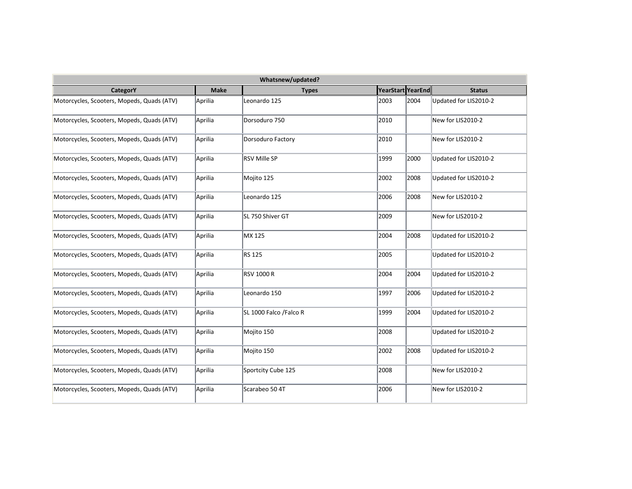| Whatsnew/updated?                          |             |                        |                   |      |                       |  |  |
|--------------------------------------------|-------------|------------------------|-------------------|------|-----------------------|--|--|
| <b>CategorY</b>                            | <b>Make</b> | <b>Types</b>           | YearStart YearEnd |      | <b>Status</b>         |  |  |
| Motorcycles, Scooters, Mopeds, Quads (ATV) | Aprilia     | Leonardo 125           | 2003              | 2004 | Updated for LIS2010-2 |  |  |
| Motorcycles, Scooters, Mopeds, Quads (ATV) | Aprilia     | Dorsoduro 750          | 2010              |      | New for LIS2010-2     |  |  |
| Motorcycles, Scooters, Mopeds, Quads (ATV) | Aprilia     | Dorsoduro Factory      | 2010              |      | New for LIS2010-2     |  |  |
| Motorcycles, Scooters, Mopeds, Quads (ATV) | Aprilia     | <b>RSV Mille SP</b>    | 1999              | 2000 | Updated for LIS2010-2 |  |  |
| Motorcycles, Scooters, Mopeds, Quads (ATV) | Aprilia     | Mojito 125             | 2002              | 2008 | Updated for LIS2010-2 |  |  |
| Motorcycles, Scooters, Mopeds, Quads (ATV) | Aprilia     | Leonardo 125           | 2006              | 2008 | New for LIS2010-2     |  |  |
| Motorcycles, Scooters, Mopeds, Quads (ATV) | Aprilia     | SL 750 Shiver GT       | 2009              |      | New for LIS2010-2     |  |  |
| Motorcycles, Scooters, Mopeds, Quads (ATV) | Aprilia     | MX 125                 | 2004              | 2008 | Updated for LIS2010-2 |  |  |
| Motorcycles, Scooters, Mopeds, Quads (ATV) | Aprilia     | RS 125                 | 2005              |      | Updated for LIS2010-2 |  |  |
| Motorcycles, Scooters, Mopeds, Quads (ATV) | Aprilia     | <b>RSV 1000 R</b>      | 2004              | 2004 | Updated for LIS2010-2 |  |  |
| Motorcycles, Scooters, Mopeds, Quads (ATV) | Aprilia     | Leonardo 150           | 1997              | 2006 | Updated for LIS2010-2 |  |  |
| Motorcycles, Scooters, Mopeds, Quads (ATV) | Aprilia     | SL 1000 Falco /Falco R | 1999              | 2004 | Updated for LIS2010-2 |  |  |
| Motorcycles, Scooters, Mopeds, Quads (ATV) | Aprilia     | Mojito 150             | 2008              |      | Updated for LIS2010-2 |  |  |
| Motorcycles, Scooters, Mopeds, Quads (ATV) | Aprilia     | Mojito 150             | 2002              | 2008 | Updated for LIS2010-2 |  |  |
| Motorcycles, Scooters, Mopeds, Quads (ATV) | Aprilia     | Sportcity Cube 125     | 2008              |      | New for LIS2010-2     |  |  |
| Motorcycles, Scooters, Mopeds, Quads (ATV) | Aprilia     | Scarabeo 50 4T         | 2006              |      | New for LIS2010-2     |  |  |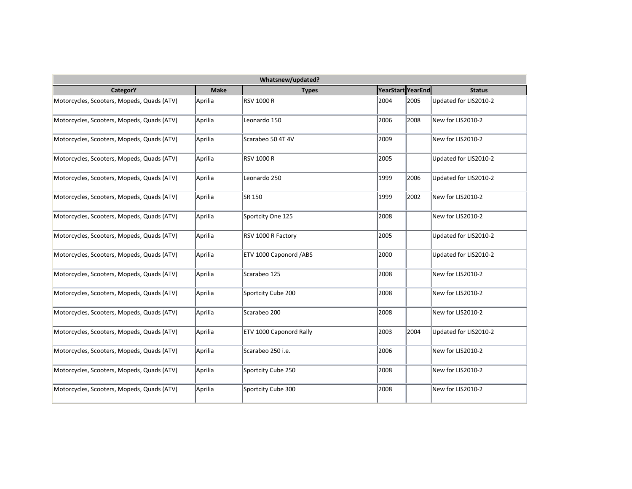| Whatsnew/updated?                          |             |                         |                   |      |                       |  |  |
|--------------------------------------------|-------------|-------------------------|-------------------|------|-----------------------|--|--|
| <b>CategorY</b>                            | <b>Make</b> | <b>Types</b>            | YearStart YearEnd |      | <b>Status</b>         |  |  |
| Motorcycles, Scooters, Mopeds, Quads (ATV) | Aprilia     | <b>RSV 1000 R</b>       | 2004              | 2005 | Updated for LIS2010-2 |  |  |
| Motorcycles, Scooters, Mopeds, Quads (ATV) | Aprilia     | Leonardo 150            | 2006              | 2008 | New for LIS2010-2     |  |  |
| Motorcycles, Scooters, Mopeds, Quads (ATV) | Aprilia     | Scarabeo 50 4T 4V       | 2009              |      | New for LIS2010-2     |  |  |
| Motorcycles, Scooters, Mopeds, Quads (ATV) | Aprilia     | RSV 1000 R              | 2005              |      | Updated for LIS2010-2 |  |  |
| Motorcycles, Scooters, Mopeds, Quads (ATV) | Aprilia     | Leonardo 250            | 1999              | 2006 | Updated for LIS2010-2 |  |  |
| Motorcycles, Scooters, Mopeds, Quads (ATV) | Aprilia     | SR 150                  | 1999              | 2002 | New for LIS2010-2     |  |  |
| Motorcycles, Scooters, Mopeds, Quads (ATV) | Aprilia     | Sportcity One 125       | 2008              |      | New for LIS2010-2     |  |  |
| Motorcycles, Scooters, Mopeds, Quads (ATV) | Aprilia     | RSV 1000 R Factory      | 2005              |      | Updated for LIS2010-2 |  |  |
| Motorcycles, Scooters, Mopeds, Quads (ATV) | Aprilia     | ETV 1000 Caponord /ABS  | 2000              |      | Updated for LIS2010-2 |  |  |
| Motorcycles, Scooters, Mopeds, Quads (ATV) | Aprilia     | Scarabeo 125            | 2008              |      | New for LIS2010-2     |  |  |
| Motorcycles, Scooters, Mopeds, Quads (ATV) | Aprilia     | Sportcity Cube 200      | 2008              |      | New for LIS2010-2     |  |  |
| Motorcycles, Scooters, Mopeds, Quads (ATV) | Aprilia     | Scarabeo 200            | 2008              |      | New for LIS2010-2     |  |  |
| Motorcycles, Scooters, Mopeds, Quads (ATV) | Aprilia     | ETV 1000 Caponord Rally | 2003              | 2004 | Updated for LIS2010-2 |  |  |
| Motorcycles, Scooters, Mopeds, Quads (ATV) | Aprilia     | Scarabeo 250 i.e.       | 2006              |      | New for LIS2010-2     |  |  |
| Motorcycles, Scooters, Mopeds, Quads (ATV) | Aprilia     | Sportcity Cube 250      | 2008              |      | New for LIS2010-2     |  |  |
| Motorcycles, Scooters, Mopeds, Quads (ATV) | Aprilia     | Sportcity Cube 300      | 2008              |      | New for LIS2010-2     |  |  |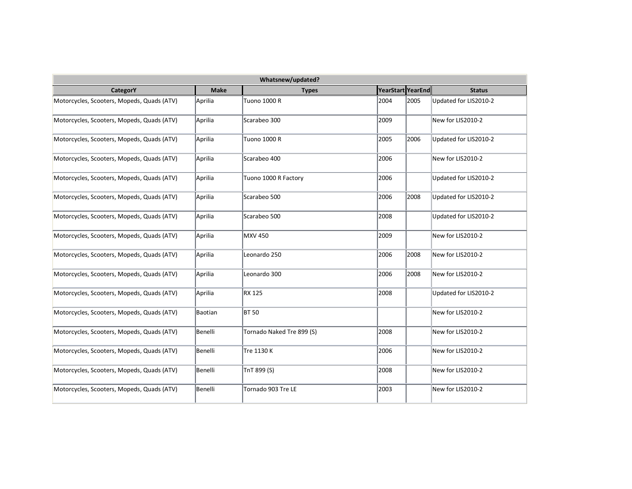| Whatsnew/updated?                          |             |                           |                   |      |                       |  |  |
|--------------------------------------------|-------------|---------------------------|-------------------|------|-----------------------|--|--|
| <b>CategorY</b>                            | <b>Make</b> | <b>Types</b>              | YearStart YearEnd |      | <b>Status</b>         |  |  |
| Motorcycles, Scooters, Mopeds, Quads (ATV) | Aprilia     | Tuono 1000 R              | 2004              | 2005 | Updated for LIS2010-2 |  |  |
| Motorcycles, Scooters, Mopeds, Quads (ATV) | Aprilia     | Scarabeo 300              | 2009              |      | New for LIS2010-2     |  |  |
| Motorcycles, Scooters, Mopeds, Quads (ATV) | Aprilia     | <b>Tuono 1000 R</b>       | 2005              | 2006 | Updated for LIS2010-2 |  |  |
| Motorcycles, Scooters, Mopeds, Quads (ATV) | Aprilia     | Scarabeo 400              | 2006              |      | New for LIS2010-2     |  |  |
| Motorcycles, Scooters, Mopeds, Quads (ATV) | Aprilia     | Tuono 1000 R Factory      | 2006              |      | Updated for LIS2010-2 |  |  |
| Motorcycles, Scooters, Mopeds, Quads (ATV) | Aprilia     | Scarabeo 500              | 2006              | 2008 | Updated for LIS2010-2 |  |  |
| Motorcycles, Scooters, Mopeds, Quads (ATV) | Aprilia     | Scarabeo 500              | 2008              |      | Updated for LIS2010-2 |  |  |
| Motorcycles, Scooters, Mopeds, Quads (ATV) | Aprilia     | <b>MXV 450</b>            | 2009              |      | New for LIS2010-2     |  |  |
| Motorcycles, Scooters, Mopeds, Quads (ATV) | Aprilia     | Leonardo 250              | 2006              | 2008 | New for LIS2010-2     |  |  |
| Motorcycles, Scooters, Mopeds, Quads (ATV) | Aprilia     | Leonardo 300              | 2006              | 2008 | New for LIS2010-2     |  |  |
| Motorcycles, Scooters, Mopeds, Quads (ATV) | Aprilia     | <b>RX 125</b>             | 2008              |      | Updated for LIS2010-2 |  |  |
| Motorcycles, Scooters, Mopeds, Quads (ATV) | Baotian     | <b>BT 50</b>              |                   |      | New for LIS2010-2     |  |  |
| Motorcycles, Scooters, Mopeds, Quads (ATV) | Benelli     | Tornado Naked Tre 899 (S) | 2008              |      | New for LIS2010-2     |  |  |
| Motorcycles, Scooters, Mopeds, Quads (ATV) | Benelli     | Tre 1130 K                | 2006              |      | New for LIS2010-2     |  |  |
| Motorcycles, Scooters, Mopeds, Quads (ATV) | Benelli     | TnT 899 (S)               | 2008              |      | New for LIS2010-2     |  |  |
| Motorcycles, Scooters, Mopeds, Quads (ATV) | Benelli     | Tornado 903 Tre LE        | 2003              |      | New for LIS2010-2     |  |  |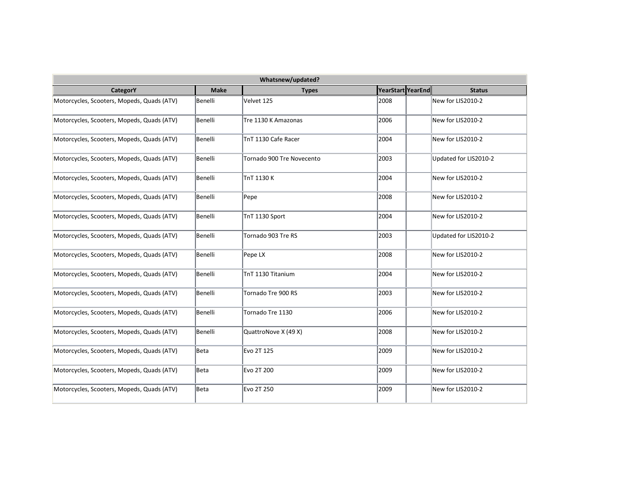| Whatsnew/updated?                          |             |                           |                   |  |                       |  |  |  |
|--------------------------------------------|-------------|---------------------------|-------------------|--|-----------------------|--|--|--|
| <b>CategorY</b>                            | <b>Make</b> | <b>Types</b>              | YearStart YearEnd |  | <b>Status</b>         |  |  |  |
| Motorcycles, Scooters, Mopeds, Quads (ATV) | Benelli     | Velvet 125                | 2008              |  | New for LIS2010-2     |  |  |  |
| Motorcycles, Scooters, Mopeds, Quads (ATV) | Benelli     | Tre 1130 K Amazonas       | 2006              |  | New for LIS2010-2     |  |  |  |
| Motorcycles, Scooters, Mopeds, Quads (ATV) | Benelli     | TnT 1130 Cafe Racer       | 2004              |  | New for LIS2010-2     |  |  |  |
| Motorcycles, Scooters, Mopeds, Quads (ATV) | Benelli     | Tornado 900 Tre Novecento | 2003              |  | Updated for LIS2010-2 |  |  |  |
| Motorcycles, Scooters, Mopeds, Quads (ATV) | Benelli     | TnT 1130 K                | 2004              |  | New for LIS2010-2     |  |  |  |
| Motorcycles, Scooters, Mopeds, Quads (ATV) | Benelli     | Pepe                      | 2008              |  | New for LIS2010-2     |  |  |  |
| Motorcycles, Scooters, Mopeds, Quads (ATV) | Benelli     | TnT 1130 Sport            | 2004              |  | New for LIS2010-2     |  |  |  |
| Motorcycles, Scooters, Mopeds, Quads (ATV) | Benelli     | Tornado 903 Tre RS        | 2003              |  | Updated for LIS2010-2 |  |  |  |
| Motorcycles, Scooters, Mopeds, Quads (ATV) | Benelli     | Pepe LX                   | 2008              |  | New for LIS2010-2     |  |  |  |
| Motorcycles, Scooters, Mopeds, Quads (ATV) | Benelli     | TnT 1130 Titanium         | 2004              |  | New for LIS2010-2     |  |  |  |
| Motorcycles, Scooters, Mopeds, Quads (ATV) | Benelli     | Tornado Tre 900 RS        | 2003              |  | New for LIS2010-2     |  |  |  |
| Motorcycles, Scooters, Mopeds, Quads (ATV) | Benelli     | Tornado Tre 1130          | 2006              |  | New for LIS2010-2     |  |  |  |
| Motorcycles, Scooters, Mopeds, Quads (ATV) | Benelli     | QuattroNove X (49 X)      | 2008              |  | New for LIS2010-2     |  |  |  |
| Motorcycles, Scooters, Mopeds, Quads (ATV) | Beta        | Evo 2T 125                | 2009              |  | New for LIS2010-2     |  |  |  |
| Motorcycles, Scooters, Mopeds, Quads (ATV) | Beta        | Evo 2T 200                | 2009              |  | New for LIS2010-2     |  |  |  |
| Motorcycles, Scooters, Mopeds, Quads (ATV) | Beta        | Evo 2T 250                | 2009              |  | New for LIS2010-2     |  |  |  |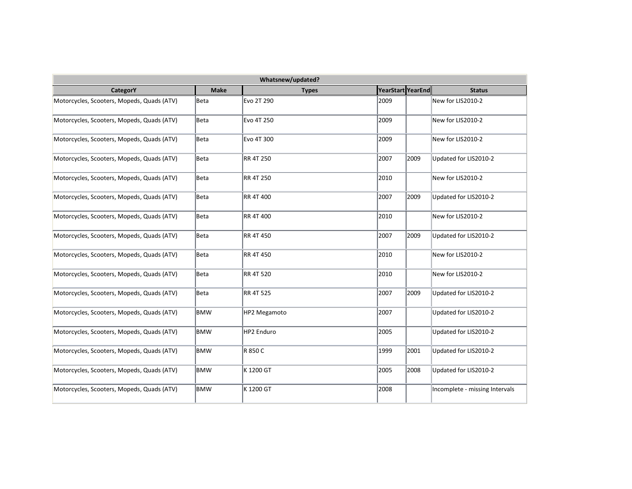| Whatsnew/updated?                          |             |                  |                   |      |                                |  |  |
|--------------------------------------------|-------------|------------------|-------------------|------|--------------------------------|--|--|
| CategorY                                   | <b>Make</b> | <b>Types</b>     | YearStart YearEnd |      | <b>Status</b>                  |  |  |
| Motorcycles, Scooters, Mopeds, Quads (ATV) | Beta        | Evo 2T 290       | 2009              |      | New for LIS2010-2              |  |  |
| Motorcycles, Scooters, Mopeds, Quads (ATV) | Beta        | Evo 4T 250       | 2009              |      | New for LIS2010-2              |  |  |
| Motorcycles, Scooters, Mopeds, Quads (ATV) | Beta        | Evo 4T 300       | 2009              |      | New for LIS2010-2              |  |  |
| Motorcycles, Scooters, Mopeds, Quads (ATV) | Beta        | <b>RR 4T 250</b> | 2007              | 2009 | Updated for LIS2010-2          |  |  |
| Motorcycles, Scooters, Mopeds, Quads (ATV) | Beta        | <b>RR 4T 250</b> | 2010              |      | New for LIS2010-2              |  |  |
| Motorcycles, Scooters, Mopeds, Quads (ATV) | Beta        | RR 4T 400        | 2007              | 2009 | Updated for LIS2010-2          |  |  |
| Motorcycles, Scooters, Mopeds, Quads (ATV) | Beta        | <b>RR 4T 400</b> | 2010              |      | New for LIS2010-2              |  |  |
| Motorcycles, Scooters, Mopeds, Quads (ATV) | Beta        | RR 4T 450        | 2007              | 2009 | Updated for LIS2010-2          |  |  |
| Motorcycles, Scooters, Mopeds, Quads (ATV) | Beta        | RR 4T 450        | 2010              |      | New for LIS2010-2              |  |  |
| Motorcycles, Scooters, Mopeds, Quads (ATV) | Beta        | RR 4T 520        | 2010              |      | New for LIS2010-2              |  |  |
| Motorcycles, Scooters, Mopeds, Quads (ATV) | Beta        | <b>RR 4T 525</b> | 2007              | 2009 | Updated for LIS2010-2          |  |  |
| Motorcycles, Scooters, Mopeds, Quads (ATV) | BMW         | HP2 Megamoto     | 2007              |      | Updated for LIS2010-2          |  |  |
| Motorcycles, Scooters, Mopeds, Quads (ATV) | <b>BMW</b>  | HP2 Enduro       | 2005              |      | Updated for LIS2010-2          |  |  |
| Motorcycles, Scooters, Mopeds, Quads (ATV) | BMW         | R 850 C          | 1999              | 2001 | Updated for LIS2010-2          |  |  |
| Motorcycles, Scooters, Mopeds, Quads (ATV) | <b>BMW</b>  | K 1200 GT        | 2005              | 2008 | Updated for LIS2010-2          |  |  |
| Motorcycles, Scooters, Mopeds, Quads (ATV) | BMW         | K 1200 GT        | 2008              |      | Incomplete - missing Intervals |  |  |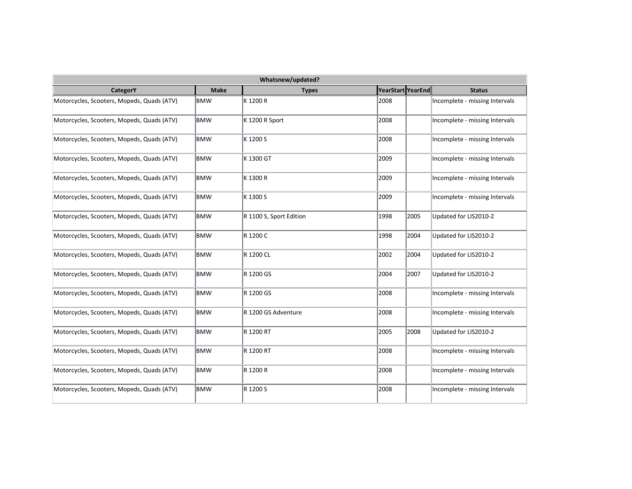| Whatsnew/updated?                          |             |                         |                   |      |                                |  |  |
|--------------------------------------------|-------------|-------------------------|-------------------|------|--------------------------------|--|--|
| CategorY                                   | <b>Make</b> | <b>Types</b>            | YearStart YearEnd |      | <b>Status</b>                  |  |  |
| Motorcycles, Scooters, Mopeds, Quads (ATV) | <b>BMW</b>  | K 1200 R                | 2008              |      | Incomplete - missing Intervals |  |  |
| Motorcycles, Scooters, Mopeds, Quads (ATV) | <b>BMW</b>  | K 1200 R Sport          | 2008              |      | Incomplete - missing Intervals |  |  |
| Motorcycles, Scooters, Mopeds, Quads (ATV) | <b>BMW</b>  | K 1200 S                | 2008              |      | Incomplete - missing Intervals |  |  |
| Motorcycles, Scooters, Mopeds, Quads (ATV) | <b>BMW</b>  | K 1300 GT               | 2009              |      | Incomplete - missing Intervals |  |  |
| Motorcycles, Scooters, Mopeds, Quads (ATV) | <b>BMW</b>  | K 1300 R                | 2009              |      | Incomplete - missing Intervals |  |  |
| Motorcycles, Scooters, Mopeds, Quads (ATV) | BMW         | K 1300 S                | 2009              |      | Incomplete - missing Intervals |  |  |
| Motorcycles, Scooters, Mopeds, Quads (ATV) | <b>BMW</b>  | R 1100 S, Sport Edition | 1998              | 2005 | Updated for LIS2010-2          |  |  |
| Motorcycles, Scooters, Mopeds, Quads (ATV) | <b>BMW</b>  | R 1200 C                | 1998              | 2004 | Updated for LIS2010-2          |  |  |
| Motorcycles, Scooters, Mopeds, Quads (ATV) | <b>BMW</b>  | R 1200 CL               | 2002              | 2004 | Updated for LIS2010-2          |  |  |
| Motorcycles, Scooters, Mopeds, Quads (ATV) | <b>BMW</b>  | R 1200 GS               | 2004              | 2007 | Updated for LIS2010-2          |  |  |
| Motorcycles, Scooters, Mopeds, Quads (ATV) | <b>BMW</b>  | R 1200 GS               | 2008              |      | Incomplete - missing Intervals |  |  |
| Motorcycles, Scooters, Mopeds, Quads (ATV) | <b>BMW</b>  | R 1200 GS Adventure     | 2008              |      | Incomplete - missing Intervals |  |  |
| Motorcycles, Scooters, Mopeds, Quads (ATV) | <b>BMW</b>  | R 1200 RT               | 2005              | 2008 | Updated for LIS2010-2          |  |  |
| Motorcycles, Scooters, Mopeds, Quads (ATV) | <b>BMW</b>  | R 1200 RT               | 2008              |      | Incomplete - missing Intervals |  |  |
| Motorcycles, Scooters, Mopeds, Quads (ATV) | <b>BMW</b>  | R 1200 R                | 2008              |      | Incomplete - missing Intervals |  |  |
| Motorcycles, Scooters, Mopeds, Quads (ATV) | BMW         | R 1200 S                | 2008              |      | Incomplete - missing Intervals |  |  |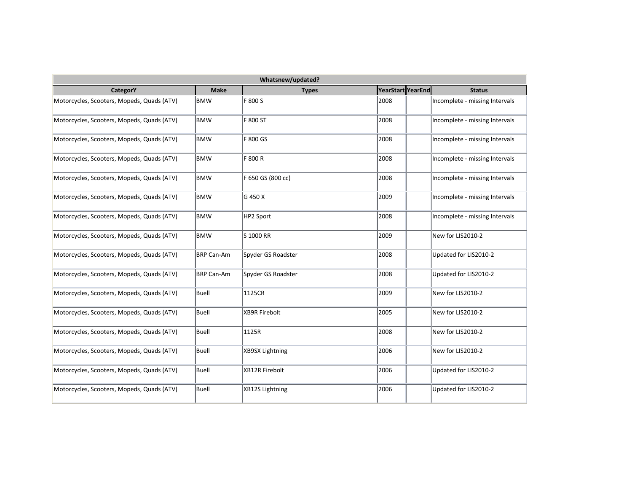| Whatsnew/updated?                          |                   |                      |                   |  |                                |  |  |
|--------------------------------------------|-------------------|----------------------|-------------------|--|--------------------------------|--|--|
| CategorY                                   | <b>Make</b>       | <b>Types</b>         | YearStart YearEnd |  | <b>Status</b>                  |  |  |
| Motorcycles, Scooters, Mopeds, Quads (ATV) | <b>BMW</b>        | F 800 S              | 2008              |  | Incomplete - missing Intervals |  |  |
| Motorcycles, Scooters, Mopeds, Quads (ATV) | <b>BMW</b>        | F 800 ST             | 2008              |  | Incomplete - missing Intervals |  |  |
| Motorcycles, Scooters, Mopeds, Quads (ATV) | BMW               | F 800 GS             | 2008              |  | Incomplete - missing Intervals |  |  |
| Motorcycles, Scooters, Mopeds, Quads (ATV) | <b>BMW</b>        | F 800 R              | 2008              |  | Incomplete - missing Intervals |  |  |
| Motorcycles, Scooters, Mopeds, Quads (ATV) | <b>BMW</b>        | F 650 GS (800 cc)    | 2008              |  | Incomplete - missing Intervals |  |  |
| Motorcycles, Scooters, Mopeds, Quads (ATV) | BMW               | G 450 X              | 2009              |  | Incomplete - missing Intervals |  |  |
| Motorcycles, Scooters, Mopeds, Quads (ATV) | BMW               | HP2 Sport            | 2008              |  | Incomplete - missing Intervals |  |  |
| Motorcycles, Scooters, Mopeds, Quads (ATV) | <b>BMW</b>        | S 1000 RR            | 2009              |  | New for LIS2010-2              |  |  |
| Motorcycles, Scooters, Mopeds, Quads (ATV) | <b>BRP Can-Am</b> | Spyder GS Roadster   | 2008              |  | Updated for LIS2010-2          |  |  |
| Motorcycles, Scooters, Mopeds, Quads (ATV) | BRP Can-Am        | Spyder GS Roadster   | 2008              |  | Updated for LIS2010-2          |  |  |
| Motorcycles, Scooters, Mopeds, Quads (ATV) | Buell             | 1125CR               | 2009              |  | New for LIS2010-2              |  |  |
| Motorcycles, Scooters, Mopeds, Quads (ATV) | Buell             | <b>XB9R Firebolt</b> | 2005              |  | New for LIS2010-2              |  |  |
| Motorcycles, Scooters, Mopeds, Quads (ATV) | Buell             | 1125R                | 2008              |  | New for LIS2010-2              |  |  |
| Motorcycles, Scooters, Mopeds, Quads (ATV) | Buell             | XB9SX Lightning      | 2006              |  | New for LIS2010-2              |  |  |
| Motorcycles, Scooters, Mopeds, Quads (ATV) | Buell             | XB12R Firebolt       | 2006              |  | Updated for LIS2010-2          |  |  |
| Motorcycles, Scooters, Mopeds, Quads (ATV) | Buell             | XB12S Lightning      | 2006              |  | Updated for LIS2010-2          |  |  |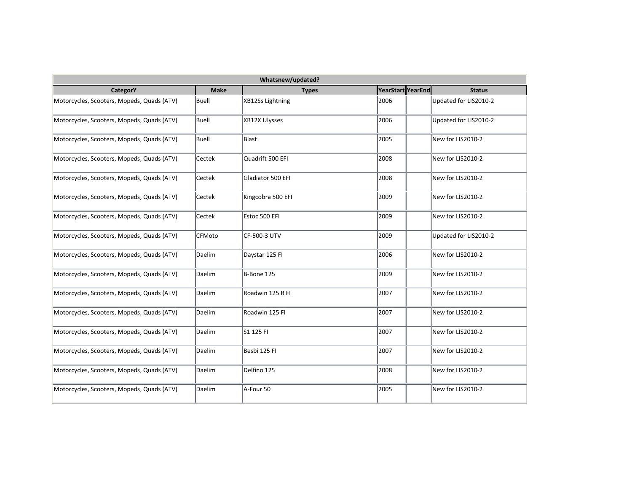| Whatsnew/updated?                          |               |                   |                   |                       |  |  |  |
|--------------------------------------------|---------------|-------------------|-------------------|-----------------------|--|--|--|
| <b>CategorY</b>                            | <b>Make</b>   | <b>Types</b>      | YearStart YearEnd | <b>Status</b>         |  |  |  |
| Motorcycles, Scooters, Mopeds, Quads (ATV) | Buell         | XB12Ss Lightning  | 2006              | Updated for LIS2010-2 |  |  |  |
| Motorcycles, Scooters, Mopeds, Quads (ATV) | Buell         | XB12X Ulysses     | 2006              | Updated for LIS2010-2 |  |  |  |
| Motorcycles, Scooters, Mopeds, Quads (ATV) | Buell         | Blast             | 2005              | New for LIS2010-2     |  |  |  |
| Motorcycles, Scooters, Mopeds, Quads (ATV) | Cectek        | Quadrift 500 EFI  | 2008              | New for LIS2010-2     |  |  |  |
| Motorcycles, Scooters, Mopeds, Quads (ATV) | Cectek        | Gladiator 500 EFI | 2008              | New for LIS2010-2     |  |  |  |
| Motorcycles, Scooters, Mopeds, Quads (ATV) | Cectek        | Kingcobra 500 EFI | 2009              | New for LIS2010-2     |  |  |  |
| Motorcycles, Scooters, Mopeds, Quads (ATV) | Cectek        | Estoc 500 EFI     | 2009              | New for LIS2010-2     |  |  |  |
| Motorcycles, Scooters, Mopeds, Quads (ATV) | <b>CFMoto</b> | CF-500-3 UTV      | 2009              | Updated for LIS2010-2 |  |  |  |
| Motorcycles, Scooters, Mopeds, Quads (ATV) | Daelim        | Daystar 125 FI    | 2006              | New for LIS2010-2     |  |  |  |
| Motorcycles, Scooters, Mopeds, Quads (ATV) | Daelim        | B-Bone 125        | 2009              | New for LIS2010-2     |  |  |  |
| Motorcycles, Scooters, Mopeds, Quads (ATV) | Daelim        | Roadwin 125 R FI  | 2007              | New for LIS2010-2     |  |  |  |
| Motorcycles, Scooters, Mopeds, Quads (ATV) | Daelim        | Roadwin 125 FI    | 2007              | New for LIS2010-2     |  |  |  |
| Motorcycles, Scooters, Mopeds, Quads (ATV) | Daelim        | S1 125 FI         | 2007              | New for LIS2010-2     |  |  |  |
| Motorcycles, Scooters, Mopeds, Quads (ATV) | Daelim        | Besbi 125 FI      | 2007              | New for LIS2010-2     |  |  |  |
| Motorcycles, Scooters, Mopeds, Quads (ATV) | Daelim        | Delfino 125       | 2008              | New for LIS2010-2     |  |  |  |
| Motorcycles, Scooters, Mopeds, Quads (ATV) | Daelim        | A-Four 50         | 2005              | New for LIS2010-2     |  |  |  |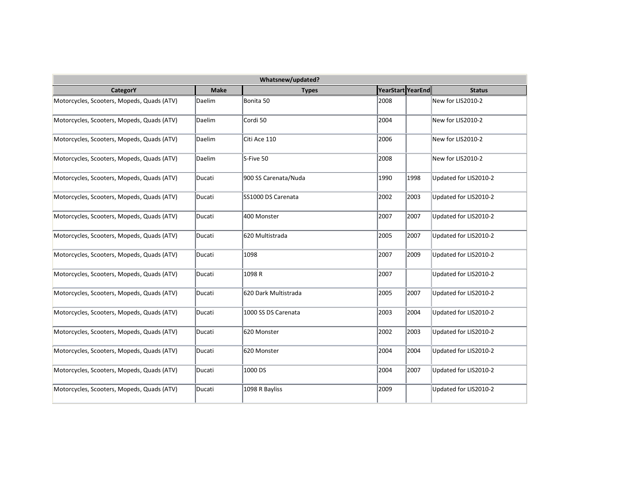| Whatsnew/updated?                          |             |                      |                   |      |                       |  |  |
|--------------------------------------------|-------------|----------------------|-------------------|------|-----------------------|--|--|
| CategorY                                   | <b>Make</b> | <b>Types</b>         | YearStart YearEnd |      | <b>Status</b>         |  |  |
| Motorcycles, Scooters, Mopeds, Quads (ATV) | Daelim      | Bonita 50            | 2008              |      | New for LIS2010-2     |  |  |
| Motorcycles, Scooters, Mopeds, Quads (ATV) | Daelim      | Cordi 50             | 2004              |      | New for LIS2010-2     |  |  |
| Motorcycles, Scooters, Mopeds, Quads (ATV) | Daelim      | Citi Ace 110         | 2006              |      | New for LIS2010-2     |  |  |
| Motorcycles, Scooters, Mopeds, Quads (ATV) | Daelim      | S-Five 50            | 2008              |      | New for LIS2010-2     |  |  |
| Motorcycles, Scooters, Mopeds, Quads (ATV) | Ducati      | 900 SS Carenata/Nuda | 1990              | 1998 | Updated for LIS2010-2 |  |  |
| Motorcycles, Scooters, Mopeds, Quads (ATV) | Ducati      | SS1000 DS Carenata   | 2002              | 2003 | Updated for LIS2010-2 |  |  |
| Motorcycles, Scooters, Mopeds, Quads (ATV) | Ducati      | 400 Monster          | 2007              | 2007 | Updated for LIS2010-2 |  |  |
| Motorcycles, Scooters, Mopeds, Quads (ATV) | Ducati      | 620 Multistrada      | 2005              | 2007 | Updated for LIS2010-2 |  |  |
| Motorcycles, Scooters, Mopeds, Quads (ATV) | Ducati      | 1098                 | 2007              | 2009 | Updated for LIS2010-2 |  |  |
| Motorcycles, Scooters, Mopeds, Quads (ATV) | Ducati      | 1098 R               | 2007              |      | Updated for LIS2010-2 |  |  |
| Motorcycles, Scooters, Mopeds, Quads (ATV) | Ducati      | 620 Dark Multistrada | 2005              | 2007 | Updated for LIS2010-2 |  |  |
| Motorcycles, Scooters, Mopeds, Quads (ATV) | Ducati      | 1000 SS DS Carenata  | 2003              | 2004 | Updated for LIS2010-2 |  |  |
| Motorcycles, Scooters, Mopeds, Quads (ATV) | Ducati      | 620 Monster          | 2002              | 2003 | Updated for LIS2010-2 |  |  |
| Motorcycles, Scooters, Mopeds, Quads (ATV) | Ducati      | 620 Monster          | 2004              | 2004 | Updated for LIS2010-2 |  |  |
| Motorcycles, Scooters, Mopeds, Quads (ATV) | Ducati      | 1000 DS              | 2004              | 2007 | Updated for LIS2010-2 |  |  |
| Motorcycles, Scooters, Mopeds, Quads (ATV) | Ducati      | 1098 R Bayliss       | 2009              |      | Updated for LIS2010-2 |  |  |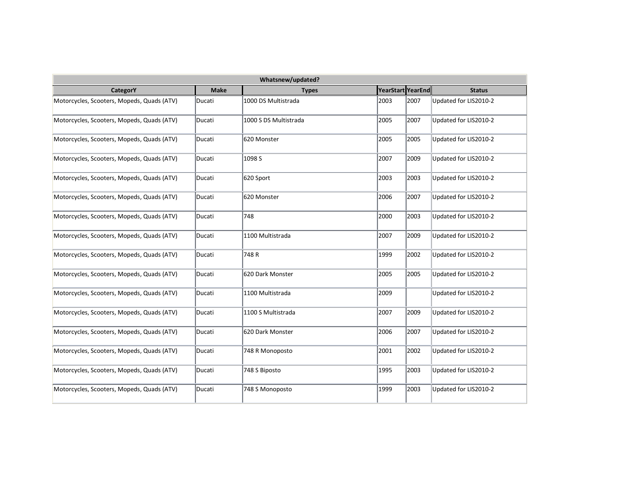| Whatsnew/updated?                          |             |                       |                   |      |                       |  |  |
|--------------------------------------------|-------------|-----------------------|-------------------|------|-----------------------|--|--|
| CategorY                                   | <b>Make</b> | <b>Types</b>          | YearStart YearEnd |      | <b>Status</b>         |  |  |
| Motorcycles, Scooters, Mopeds, Quads (ATV) | Ducati      | 1000 DS Multistrada   | 2003              | 2007 | Updated for LIS2010-2 |  |  |
| Motorcycles, Scooters, Mopeds, Quads (ATV) | Ducati      | 1000 S DS Multistrada | 2005              | 2007 | Updated for LIS2010-2 |  |  |
| Motorcycles, Scooters, Mopeds, Quads (ATV) | Ducati      | 620 Monster           | 2005              | 2005 | Updated for LIS2010-2 |  |  |
| Motorcycles, Scooters, Mopeds, Quads (ATV) | Ducati      | 1098 S                | 2007              | 2009 | Updated for LIS2010-2 |  |  |
| Motorcycles, Scooters, Mopeds, Quads (ATV) | Ducati      | 620 Sport             | 2003              | 2003 | Updated for LIS2010-2 |  |  |
| Motorcycles, Scooters, Mopeds, Quads (ATV) | Ducati      | 620 Monster           | 2006              | 2007 | Updated for LIS2010-2 |  |  |
| Motorcycles, Scooters, Mopeds, Quads (ATV) | Ducati      | 748                   | 2000              | 2003 | Updated for LIS2010-2 |  |  |
| Motorcycles, Scooters, Mopeds, Quads (ATV) | Ducati      | 1100 Multistrada      | 2007              | 2009 | Updated for LIS2010-2 |  |  |
| Motorcycles, Scooters, Mopeds, Quads (ATV) | Ducati      | 748R                  | 1999              | 2002 | Updated for LIS2010-2 |  |  |
| Motorcycles, Scooters, Mopeds, Quads (ATV) | Ducati      | 620 Dark Monster      | 2005              | 2005 | Updated for LIS2010-2 |  |  |
| Motorcycles, Scooters, Mopeds, Quads (ATV) | Ducati      | 1100 Multistrada      | 2009              |      | Updated for LIS2010-2 |  |  |
| Motorcycles, Scooters, Mopeds, Quads (ATV) | Ducati      | 1100 S Multistrada    | 2007              | 2009 | Updated for LIS2010-2 |  |  |
| Motorcycles, Scooters, Mopeds, Quads (ATV) | Ducati      | 620 Dark Monster      | 2006              | 2007 | Updated for LIS2010-2 |  |  |
| Motorcycles, Scooters, Mopeds, Quads (ATV) | Ducati      | 748 R Monoposto       | 2001              | 2002 | Updated for LIS2010-2 |  |  |
| Motorcycles, Scooters, Mopeds, Quads (ATV) | Ducati      | 748 S Biposto         | 1995              | 2003 | Updated for LIS2010-2 |  |  |
| Motorcycles, Scooters, Mopeds, Quads (ATV) | Ducati      | 748 S Monoposto       | 1999              | 2003 | Updated for LIS2010-2 |  |  |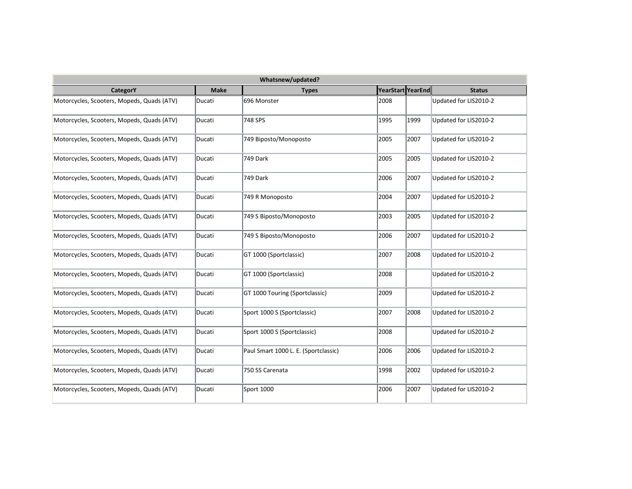| Whatsnew/updated?                          |             |                                      |                   |      |                       |  |  |  |
|--------------------------------------------|-------------|--------------------------------------|-------------------|------|-----------------------|--|--|--|
| <b>CategorY</b>                            | <b>Make</b> | <b>Types</b>                         | YearStart YearEnd |      | <b>Status</b>         |  |  |  |
| Motorcycles, Scooters, Mopeds, Quads (ATV) | Ducati      | 696 Monster                          | 2008              |      | Updated for LIS2010-2 |  |  |  |
| Motorcycles, Scooters, Mopeds, Quads (ATV) | Ducati      | 748 SPS                              | 1995              | 1999 | Updated for LIS2010-2 |  |  |  |
| Motorcycles, Scooters, Mopeds, Quads (ATV) | Ducati      | 749 Biposto/Monoposto                | 2005              | 2007 | Updated for LIS2010-2 |  |  |  |
| Motorcycles, Scooters, Mopeds, Quads (ATV) | Ducati      | 749 Dark                             | 2005              | 2005 | Updated for LIS2010-2 |  |  |  |
| Motorcycles, Scooters, Mopeds, Quads (ATV) | Ducati      | 749 Dark                             | 2006              | 2007 | Updated for LIS2010-2 |  |  |  |
| Motorcycles, Scooters, Mopeds, Quads (ATV) | Ducati      | 749 R Monoposto                      | 2004              | 2007 | Updated for LIS2010-2 |  |  |  |
| Motorcycles, Scooters, Mopeds, Quads (ATV) | Ducati      | 749 S Biposto/Monoposto              | 2003              | 2005 | Updated for LIS2010-2 |  |  |  |
| Motorcycles, Scooters, Mopeds, Quads (ATV) | Ducati      | 749 S Biposto/Monoposto              | 2006              | 2007 | Updated for LIS2010-2 |  |  |  |
| Motorcycles, Scooters, Mopeds, Quads (ATV) | Ducati      | GT 1000 (Sportclassic)               | 2007              | 2008 | Updated for LIS2010-2 |  |  |  |
| Motorcycles, Scooters, Mopeds, Quads (ATV) | Ducati      | GT 1000 (Sportclassic)               | 2008              |      | Updated for LIS2010-2 |  |  |  |
| Motorcycles, Scooters, Mopeds, Quads (ATV) | Ducati      | GT 1000 Touring (Sportclassic)       | 2009              |      | Updated for LIS2010-2 |  |  |  |
| Motorcycles, Scooters, Mopeds, Quads (ATV) | Ducati      | Sport 1000 S (Sportclassic)          | 2007              | 2008 | Updated for LIS2010-2 |  |  |  |
| Motorcycles, Scooters, Mopeds, Quads (ATV) | Ducati      | Sport 1000 S (Sportclassic)          | 2008              |      | Updated for LIS2010-2 |  |  |  |
| Motorcycles, Scooters, Mopeds, Quads (ATV) | Ducati      | Paul Smart 1000 L. E. (Sportclassic) | 2006              | 2006 | Updated for LIS2010-2 |  |  |  |
| Motorcycles, Scooters, Mopeds, Quads (ATV) | Ducati      | 750 SS Carenata                      | 1998              | 2002 | Updated for LIS2010-2 |  |  |  |
| Motorcycles, Scooters, Mopeds, Quads (ATV) | Ducati      | Sport 1000                           | 2006              | 2007 | Updated for LIS2010-2 |  |  |  |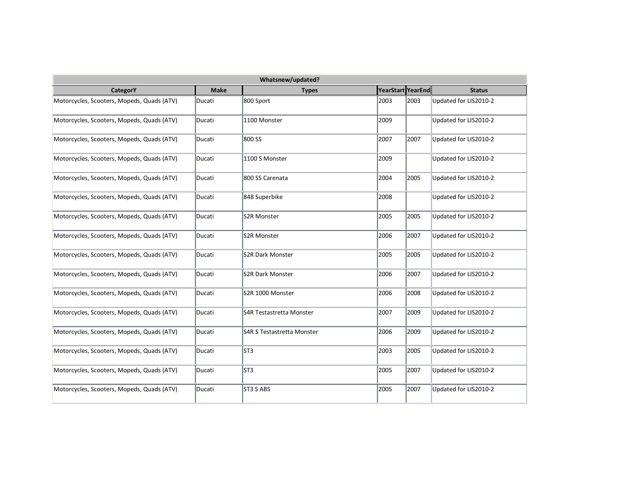| Whatsnew/updated?                          |             |                            |                   |      |                       |  |  |  |
|--------------------------------------------|-------------|----------------------------|-------------------|------|-----------------------|--|--|--|
| CategorY                                   | <b>Make</b> | <b>Types</b>               | YearStart YearEnd |      | <b>Status</b>         |  |  |  |
| Motorcycles, Scooters, Mopeds, Quads (ATV) | Ducati      | 800 Sport                  | 2003              | 2003 | Updated for LIS2010-2 |  |  |  |
| Motorcycles, Scooters, Mopeds, Quads (ATV) | Ducati      | 1100 Monster               | 2009              |      | Updated for LIS2010-2 |  |  |  |
| Motorcycles, Scooters, Mopeds, Quads (ATV) | Ducati      | 800 SS                     | 2007              | 2007 | Updated for LIS2010-2 |  |  |  |
| Motorcycles, Scooters, Mopeds, Quads (ATV) | Ducati      | 1100 S Monster             | 2009              |      | Updated for LIS2010-2 |  |  |  |
| Motorcycles, Scooters, Mopeds, Quads (ATV) | Ducati      | 800 SS Carenata            | 2004              | 2005 | Updated for LIS2010-2 |  |  |  |
| Motorcycles, Scooters, Mopeds, Quads (ATV) | Ducati      | 848 Superbike              | 2008              |      | Updated for LIS2010-2 |  |  |  |
| Motorcycles, Scooters, Mopeds, Quads (ATV) | Ducati      | S2R Monster                | 2005              | 2005 | Updated for LIS2010-2 |  |  |  |
| Motorcycles, Scooters, Mopeds, Quads (ATV) | Ducati      | S2R Monster                | 2006              | 2007 | Updated for LIS2010-2 |  |  |  |
| Motorcycles, Scooters, Mopeds, Quads (ATV) | Ducati      | <b>S2R Dark Monster</b>    | 2005              | 2005 | Updated for LIS2010-2 |  |  |  |
| Motorcycles, Scooters, Mopeds, Quads (ATV) | Ducati      | <b>S2R Dark Monster</b>    | 2006              | 2007 | Updated for LIS2010-2 |  |  |  |
| Motorcycles, Scooters, Mopeds, Quads (ATV) | Ducati      | S2R 1000 Monster           | 2006              | 2008 | Updated for LIS2010-2 |  |  |  |
| Motorcycles, Scooters, Mopeds, Quads (ATV) | Ducati      | S4R Testastretta Monster   | 2007              | 2009 | Updated for LIS2010-2 |  |  |  |
| Motorcycles, Scooters, Mopeds, Quads (ATV) | Ducati      | S4R S Testastretta Monster | 2006              | 2009 | Updated for LIS2010-2 |  |  |  |
| Motorcycles, Scooters, Mopeds, Quads (ATV) | Ducati      | ST3                        | 2003              | 2005 | Updated for LIS2010-2 |  |  |  |
| Motorcycles, Scooters, Mopeds, Quads (ATV) | Ducati      | ST3                        | 2005              | 2007 | Updated for LIS2010-2 |  |  |  |
| Motorcycles, Scooters, Mopeds, Quads (ATV) | Ducati      | ST3 S ABS                  | 2005              | 2007 | Updated for LIS2010-2 |  |  |  |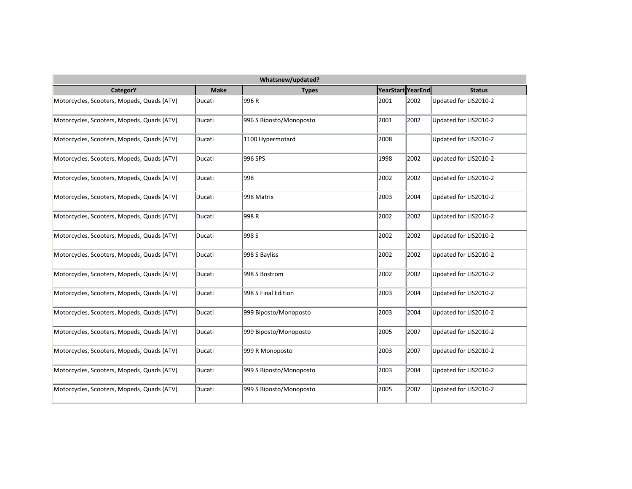| Whatsnew/updated?                          |             |                         |                   |      |                       |  |  |  |
|--------------------------------------------|-------------|-------------------------|-------------------|------|-----------------------|--|--|--|
| <b>CategorY</b>                            | <b>Make</b> | <b>Types</b>            | YearStart YearEnd |      | <b>Status</b>         |  |  |  |
| Motorcycles, Scooters, Mopeds, Quads (ATV) | Ducati      | 996 R                   | 2001              | 2002 | Updated for LIS2010-2 |  |  |  |
| Motorcycles, Scooters, Mopeds, Quads (ATV) | Ducati      | 996 S Biposto/Monoposto | 2001              | 2002 | Updated for LIS2010-2 |  |  |  |
| Motorcycles, Scooters, Mopeds, Quads (ATV) | Ducati      | 1100 Hypermotard        | 2008              |      | Updated for LIS2010-2 |  |  |  |
| Motorcycles, Scooters, Mopeds, Quads (ATV) | Ducati      | 996 SPS                 | 1998              | 2002 | Updated for LIS2010-2 |  |  |  |
| Motorcycles, Scooters, Mopeds, Quads (ATV) | Ducati      | 998                     | 2002              | 2002 | Updated for LIS2010-2 |  |  |  |
| Motorcycles, Scooters, Mopeds, Quads (ATV) | Ducati      | 998 Matrix              | 2003              | 2004 | Updated for LIS2010-2 |  |  |  |
| Motorcycles, Scooters, Mopeds, Quads (ATV) | Ducati      | 998 R                   | 2002              | 2002 | Updated for LIS2010-2 |  |  |  |
| Motorcycles, Scooters, Mopeds, Quads (ATV) | Ducati      | 998 S                   | 2002              | 2002 | Updated for LIS2010-2 |  |  |  |
| Motorcycles, Scooters, Mopeds, Quads (ATV) | Ducati      | 998 S Bayliss           | 2002              | 2002 | Updated for LIS2010-2 |  |  |  |
| Motorcycles, Scooters, Mopeds, Quads (ATV) | Ducati      | 998 S Bostrom           | 2002              | 2002 | Updated for LIS2010-2 |  |  |  |
| Motorcycles, Scooters, Mopeds, Quads (ATV) | Ducati      | 998 S Final Edition     | 2003              | 2004 | Updated for LIS2010-2 |  |  |  |
| Motorcycles, Scooters, Mopeds, Quads (ATV) | Ducati      | 999 Biposto/Monoposto   | 2003              | 2004 | Updated for LIS2010-2 |  |  |  |
| Motorcycles, Scooters, Mopeds, Quads (ATV) | Ducati      | 999 Biposto/Monoposto   | 2005              | 2007 | Updated for LIS2010-2 |  |  |  |
| Motorcycles, Scooters, Mopeds, Quads (ATV) | Ducati      | 999 R Monoposto         | 2003              | 2007 | Updated for LIS2010-2 |  |  |  |
| Motorcycles, Scooters, Mopeds, Quads (ATV) | Ducati      | 999 S Biposto/Monoposto | 2003              | 2004 | Updated for LIS2010-2 |  |  |  |
| Motorcycles, Scooters, Mopeds, Quads (ATV) | Ducati      | 999 S Biposto/Monoposto | 2005              | 2007 | Updated for LIS2010-2 |  |  |  |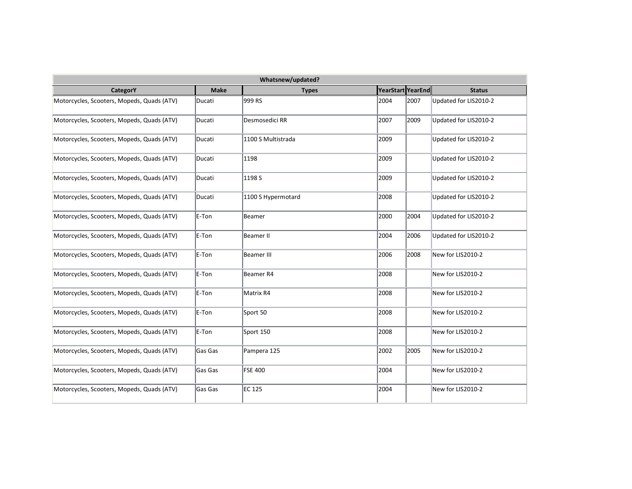| Whatsnew/updated?                          |             |                      |                   |      |                       |  |  |  |
|--------------------------------------------|-------------|----------------------|-------------------|------|-----------------------|--|--|--|
| <b>CategorY</b>                            | <b>Make</b> | <b>Types</b>         | YearStart YearEnd |      | <b>Status</b>         |  |  |  |
| Motorcycles, Scooters, Mopeds, Quads (ATV) | Ducati      | 999 RS               | 2004              | 2007 | Updated for LIS2010-2 |  |  |  |
| Motorcycles, Scooters, Mopeds, Quads (ATV) | Ducati      | Desmosedici RR       | 2007              | 2009 | Updated for LIS2010-2 |  |  |  |
| Motorcycles, Scooters, Mopeds, Quads (ATV) | Ducati      | 1100 S Multistrada   | 2009              |      | Updated for LIS2010-2 |  |  |  |
| Motorcycles, Scooters, Mopeds, Quads (ATV) | Ducati      | 1198                 | 2009              |      | Updated for LIS2010-2 |  |  |  |
| Motorcycles, Scooters, Mopeds, Quads (ATV) | Ducati      | 1198 S               | 2009              |      | Updated for LIS2010-2 |  |  |  |
| Motorcycles, Scooters, Mopeds, Quads (ATV) | Ducati      | 1100 S Hypermotard   | 2008              |      | Updated for LIS2010-2 |  |  |  |
| Motorcycles, Scooters, Mopeds, Quads (ATV) | E-Ton       | Beamer               | 2000              | 2004 | Updated for LIS2010-2 |  |  |  |
| Motorcycles, Scooters, Mopeds, Quads (ATV) | E-Ton       | <b>Beamer II</b>     | 2004              | 2006 | Updated for LIS2010-2 |  |  |  |
| Motorcycles, Scooters, Mopeds, Quads (ATV) | E-Ton       | <b>Beamer III</b>    | 2006              | 2008 | New for LIS2010-2     |  |  |  |
| Motorcycles, Scooters, Mopeds, Quads (ATV) | E-Ton       | Beamer <sub>R4</sub> | 2008              |      | New for LIS2010-2     |  |  |  |
| Motorcycles, Scooters, Mopeds, Quads (ATV) | E-Ton       | Matrix R4            | 2008              |      | New for LIS2010-2     |  |  |  |
| Motorcycles, Scooters, Mopeds, Quads (ATV) | E-Ton       | Sport 50             | 2008              |      | New for LIS2010-2     |  |  |  |
| Motorcycles, Scooters, Mopeds, Quads (ATV) | E-Ton       | Sport 150            | 2008              |      | New for LIS2010-2     |  |  |  |
| Motorcycles, Scooters, Mopeds, Quads (ATV) | Gas Gas     | Pampera 125          | 2002              | 2005 | New for LIS2010-2     |  |  |  |
| Motorcycles, Scooters, Mopeds, Quads (ATV) | Gas Gas     | <b>FSE 400</b>       | 2004              |      | New for LIS2010-2     |  |  |  |
| Motorcycles, Scooters, Mopeds, Quads (ATV) | Gas Gas     | EC 125               | 2004              |      | New for LIS2010-2     |  |  |  |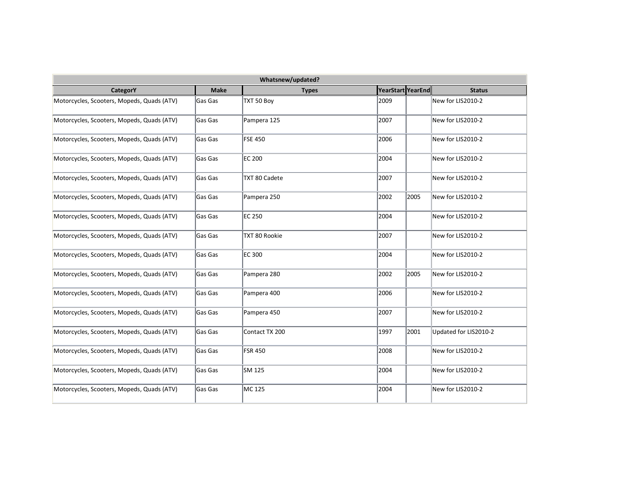| Whatsnew/updated?                          |             |                |                   |      |                       |  |  |
|--------------------------------------------|-------------|----------------|-------------------|------|-----------------------|--|--|
| CategorY                                   | <b>Make</b> | <b>Types</b>   | YearStart YearEnd |      | <b>Status</b>         |  |  |
| Motorcycles, Scooters, Mopeds, Quads (ATV) | Gas Gas     | TXT 50 Boy     | 2009              |      | New for LIS2010-2     |  |  |
| Motorcycles, Scooters, Mopeds, Quads (ATV) | Gas Gas     | Pampera 125    | 2007              |      | New for LIS2010-2     |  |  |
| Motorcycles, Scooters, Mopeds, Quads (ATV) | Gas Gas     | <b>FSE 450</b> | 2006              |      | New for LIS2010-2     |  |  |
| Motorcycles, Scooters, Mopeds, Quads (ATV) | Gas Gas     | <b>EC 200</b>  | 2004              |      | New for LIS2010-2     |  |  |
| Motorcycles, Scooters, Mopeds, Quads (ATV) | Gas Gas     | TXT 80 Cadete  | 2007              |      | New for LIS2010-2     |  |  |
| Motorcycles, Scooters, Mopeds, Quads (ATV) | Gas Gas     | Pampera 250    | 2002              | 2005 | New for LIS2010-2     |  |  |
| Motorcycles, Scooters, Mopeds, Quads (ATV) | Gas Gas     | <b>EC 250</b>  | 2004              |      | New for LIS2010-2     |  |  |
| Motorcycles, Scooters, Mopeds, Quads (ATV) | Gas Gas     | TXT 80 Rookie  | 2007              |      | New for LIS2010-2     |  |  |
| Motorcycles, Scooters, Mopeds, Quads (ATV) | Gas Gas     | <b>EC 300</b>  | 2004              |      | New for LIS2010-2     |  |  |
| Motorcycles, Scooters, Mopeds, Quads (ATV) | Gas Gas     | Pampera 280    | 2002              | 2005 | New for LIS2010-2     |  |  |
| Motorcycles, Scooters, Mopeds, Quads (ATV) | Gas Gas     | Pampera 400    | 2006              |      | New for LIS2010-2     |  |  |
| Motorcycles, Scooters, Mopeds, Quads (ATV) | lGas Gas    | Pampera 450    | 2007              |      | New for LIS2010-2     |  |  |
| Motorcycles, Scooters, Mopeds, Quads (ATV) | lGas Gas    | Contact TX 200 | 1997              | 2001 | Updated for LIS2010-2 |  |  |
| Motorcycles, Scooters, Mopeds, Quads (ATV) | Gas Gas     | <b>FSR 450</b> | 2008              |      | New for LIS2010-2     |  |  |
| Motorcycles, Scooters, Mopeds, Quads (ATV) | Gas Gas     | SM 125         | 2004              |      | New for LIS2010-2     |  |  |
| Motorcycles, Scooters, Mopeds, Quads (ATV) | Gas Gas     | MC 125         | 2004              |      | New for LIS2010-2     |  |  |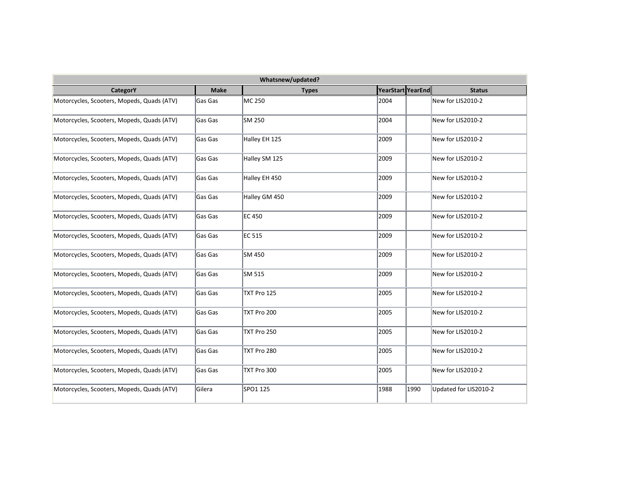| Whatsnew/updated?                          |             |               |                   |                       |  |  |  |  |
|--------------------------------------------|-------------|---------------|-------------------|-----------------------|--|--|--|--|
| CategorY                                   | <b>Make</b> | <b>Types</b>  | YearStart YearEnd | <b>Status</b>         |  |  |  |  |
| Motorcycles, Scooters, Mopeds, Quads (ATV) | Gas Gas     | MC 250        | 2004              | New for LIS2010-2     |  |  |  |  |
| Motorcycles, Scooters, Mopeds, Quads (ATV) | Gas Gas     | SM 250        | 2004              | New for LIS2010-2     |  |  |  |  |
| Motorcycles, Scooters, Mopeds, Quads (ATV) | Gas Gas     | Halley EH 125 | 2009              | New for LIS2010-2     |  |  |  |  |
| Motorcycles, Scooters, Mopeds, Quads (ATV) | Gas Gas     | Halley SM 125 | 2009              | New for LIS2010-2     |  |  |  |  |
| Motorcycles, Scooters, Mopeds, Quads (ATV) | Gas Gas     | Halley EH 450 | 2009              | New for LIS2010-2     |  |  |  |  |
| Motorcycles, Scooters, Mopeds, Quads (ATV) | Gas Gas     | Halley GM 450 | 2009              | New for LIS2010-2     |  |  |  |  |
| Motorcycles, Scooters, Mopeds, Quads (ATV) | Gas Gas     | <b>EC 450</b> | 2009              | New for LIS2010-2     |  |  |  |  |
| Motorcycles, Scooters, Mopeds, Quads (ATV) | Gas Gas     | EC 515        | 2009              | New for LIS2010-2     |  |  |  |  |
| Motorcycles, Scooters, Mopeds, Quads (ATV) | Gas Gas     | SM 450        | 2009              | New for LIS2010-2     |  |  |  |  |
| Motorcycles, Scooters, Mopeds, Quads (ATV) | Gas Gas     | SM 515        | 2009              | New for LIS2010-2     |  |  |  |  |
| Motorcycles, Scooters, Mopeds, Quads (ATV) | Gas Gas     | TXT Pro 125   | 2005              | New for LIS2010-2     |  |  |  |  |
| Motorcycles, Scooters, Mopeds, Quads (ATV) | lGas Gas    | TXT Pro 200   | 2005              | New for LIS2010-2     |  |  |  |  |
| Motorcycles, Scooters, Mopeds, Quads (ATV) | lGas Gas    | TXT Pro 250   | 2005              | New for LIS2010-2     |  |  |  |  |
| Motorcycles, Scooters, Mopeds, Quads (ATV) | Gas Gas     | TXT Pro 280   | 2005              | New for LIS2010-2     |  |  |  |  |
| Motorcycles, Scooters, Mopeds, Quads (ATV) | Gas Gas     | TXT Pro 300   | 2005              | New for LIS2010-2     |  |  |  |  |
| Motorcycles, Scooters, Mopeds, Quads (ATV) | Gilera      | SPO1 125      | 1988<br>1990      | Updated for LIS2010-2 |  |  |  |  |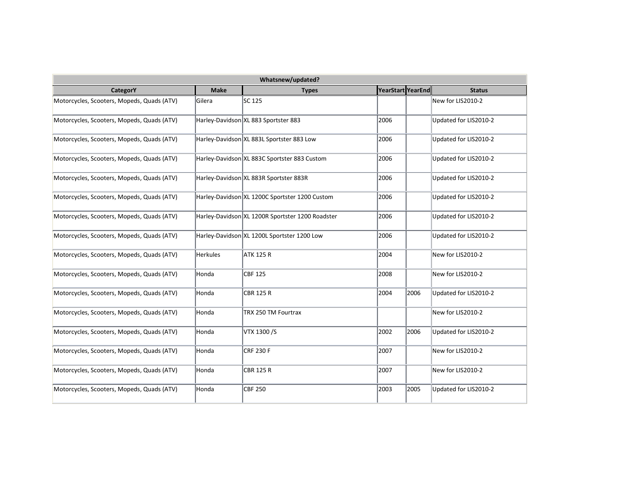| Whatsnew/updated?                          |                 |                                                  |                   |      |                       |  |  |  |
|--------------------------------------------|-----------------|--------------------------------------------------|-------------------|------|-----------------------|--|--|--|
| CategorY                                   | <b>Make</b>     | <b>Types</b>                                     | YearStart YearEnd |      | <b>Status</b>         |  |  |  |
| Motorcycles, Scooters, Mopeds, Quads (ATV) | Gilera          | SC 125                                           |                   |      | New for LIS2010-2     |  |  |  |
| Motorcycles, Scooters, Mopeds, Quads (ATV) |                 | Harley-Davidson XL 883 Sportster 883             | 2006              |      | Updated for LIS2010-2 |  |  |  |
| Motorcycles, Scooters, Mopeds, Quads (ATV) |                 | Harley-Davidson XL 883L Sportster 883 Low        | 2006              |      | Updated for LIS2010-2 |  |  |  |
| Motorcycles, Scooters, Mopeds, Quads (ATV) |                 | Harley-Davidson XL 883C Sportster 883 Custom     | 2006              |      | Updated for LIS2010-2 |  |  |  |
| Motorcycles, Scooters, Mopeds, Quads (ATV) |                 | Harley-Davidson XL 883R Sportster 883R           | 2006              |      | Updated for LIS2010-2 |  |  |  |
| Motorcycles, Scooters, Mopeds, Quads (ATV) |                 | Harley-Davidson XL 1200C Sportster 1200 Custom   | 2006              |      | Updated for LIS2010-2 |  |  |  |
| Motorcycles, Scooters, Mopeds, Quads (ATV) |                 | Harley-Davidson XL 1200R Sportster 1200 Roadster | 2006              |      | Updated for LIS2010-2 |  |  |  |
| Motorcycles, Scooters, Mopeds, Quads (ATV) |                 | Harley-Davidson XL 1200L Sportster 1200 Low      | 2006              |      | Updated for LIS2010-2 |  |  |  |
| Motorcycles, Scooters, Mopeds, Quads (ATV) | <b>Herkules</b> | <b>ATK 125 R</b>                                 | 2004              |      | New for LIS2010-2     |  |  |  |
| Motorcycles, Scooters, Mopeds, Quads (ATV) | Honda           | <b>CBF 125</b>                                   | 2008              |      | New for LIS2010-2     |  |  |  |
| Motorcycles, Scooters, Mopeds, Quads (ATV) | Honda           | <b>CBR 125 R</b>                                 | 2004              | 2006 | Updated for LIS2010-2 |  |  |  |
| Motorcycles, Scooters, Mopeds, Quads (ATV) | Honda           | TRX 250 TM Fourtrax                              |                   |      | New for LIS2010-2     |  |  |  |
| Motorcycles, Scooters, Mopeds, Quads (ATV) | Honda           | VTX 1300/S                                       | 2002              | 2006 | Updated for LIS2010-2 |  |  |  |
| Motorcycles, Scooters, Mopeds, Quads (ATV) | Honda           | <b>CRF 230 F</b>                                 | 2007              |      | New for LIS2010-2     |  |  |  |
| Motorcycles, Scooters, Mopeds, Quads (ATV) | Honda           | <b>CBR 125 R</b>                                 | 2007              |      | New for LIS2010-2     |  |  |  |
| Motorcycles, Scooters, Mopeds, Quads (ATV) | Honda           | <b>CBF 250</b>                                   | 2003              | 2005 | Updated for LIS2010-2 |  |  |  |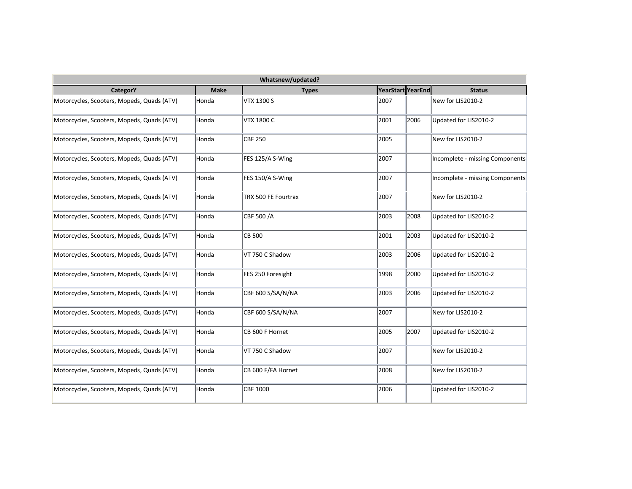| Whatsnew/updated?                          |             |                     |                   |      |                                 |  |  |
|--------------------------------------------|-------------|---------------------|-------------------|------|---------------------------------|--|--|
| <b>CategorY</b>                            | <b>Make</b> | <b>Types</b>        | YearStart YearEnd |      | <b>Status</b>                   |  |  |
| Motorcycles, Scooters, Mopeds, Quads (ATV) | Honda       | <b>VTX 1300 S</b>   | 2007              |      | New for LIS2010-2               |  |  |
| Motorcycles, Scooters, Mopeds, Quads (ATV) | Honda       | <b>VTX 1800 C</b>   | 2001              | 2006 | Updated for LIS2010-2           |  |  |
| Motorcycles, Scooters, Mopeds, Quads (ATV) | Honda       | <b>CBF 250</b>      | 2005              |      | New for LIS2010-2               |  |  |
| Motorcycles, Scooters, Mopeds, Quads (ATV) | Honda       | FES 125/A S-Wing    | 2007              |      | Incomplete - missing Components |  |  |
| Motorcycles, Scooters, Mopeds, Quads (ATV) | Honda       | FES 150/A S-Wing    | 2007              |      | Incomplete - missing Components |  |  |
| Motorcycles, Scooters, Mopeds, Quads (ATV) | Honda       | TRX 500 FE Fourtrax | 2007              |      | New for LIS2010-2               |  |  |
| Motorcycles, Scooters, Mopeds, Quads (ATV) | Honda       | CBF 500 /A          | 2003              | 2008 | Updated for LIS2010-2           |  |  |
| Motorcycles, Scooters, Mopeds, Quads (ATV) | Honda       | <b>CB 500</b>       | 2001              | 2003 | Updated for LIS2010-2           |  |  |
| Motorcycles, Scooters, Mopeds, Quads (ATV) | Honda       | VT 750 C Shadow     | 2003              | 2006 | Updated for LIS2010-2           |  |  |
| Motorcycles, Scooters, Mopeds, Quads (ATV) | Honda       | FES 250 Foresight   | 1998              | 2000 | Updated for LIS2010-2           |  |  |
| Motorcycles, Scooters, Mopeds, Quads (ATV) | Honda       | CBF 600 S/SA/N/NA   | 2003              | 2006 | Updated for LIS2010-2           |  |  |
| Motorcycles, Scooters, Mopeds, Quads (ATV) | Honda       | CBF 600 S/SA/N/NA   | 2007              |      | New for LIS2010-2               |  |  |
| Motorcycles, Scooters, Mopeds, Quads (ATV) | Honda       | CB 600 F Hornet     | 2005              | 2007 | Updated for LIS2010-2           |  |  |
| Motorcycles, Scooters, Mopeds, Quads (ATV) | Honda       | VT 750 C Shadow     | 2007              |      | New for LIS2010-2               |  |  |
| Motorcycles, Scooters, Mopeds, Quads (ATV) | Honda       | CB 600 F/FA Hornet  | 2008              |      | New for LIS2010-2               |  |  |
| Motorcycles, Scooters, Mopeds, Quads (ATV) | Honda       | <b>CBF 1000</b>     | 2006              |      | Updated for LIS2010-2           |  |  |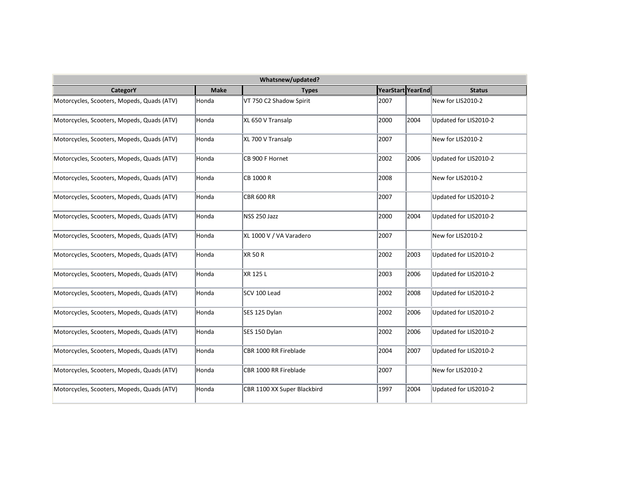| Whatsnew/updated?                          |             |                             |                   |      |                       |  |  |  |
|--------------------------------------------|-------------|-----------------------------|-------------------|------|-----------------------|--|--|--|
| <b>CategorY</b>                            | <b>Make</b> | <b>Types</b>                | YearStart YearEnd |      | <b>Status</b>         |  |  |  |
| Motorcycles, Scooters, Mopeds, Quads (ATV) | Honda       | VT 750 C2 Shadow Spirit     | 2007              |      | New for LIS2010-2     |  |  |  |
| Motorcycles, Scooters, Mopeds, Quads (ATV) | Honda       | XL 650 V Transalp           | 2000              | 2004 | Updated for LIS2010-2 |  |  |  |
| Motorcycles, Scooters, Mopeds, Quads (ATV) | Honda       | XL 700 V Transalp           | 2007              |      | New for LIS2010-2     |  |  |  |
| Motorcycles, Scooters, Mopeds, Quads (ATV) | Honda       | CB 900 F Hornet             | 2002              | 2006 | Updated for LIS2010-2 |  |  |  |
| Motorcycles, Scooters, Mopeds, Quads (ATV) | Honda       | CB 1000 R                   | 2008              |      | New for LIS2010-2     |  |  |  |
| Motorcycles, Scooters, Mopeds, Quads (ATV) | Honda       | <b>CBR 600 RR</b>           | 2007              |      | Updated for LIS2010-2 |  |  |  |
| Motorcycles, Scooters, Mopeds, Quads (ATV) | Honda       | NSS 250 Jazz                | 2000              | 2004 | Updated for LIS2010-2 |  |  |  |
| Motorcycles, Scooters, Mopeds, Quads (ATV) | Honda       | XL 1000 V / VA Varadero     | 2007              |      | New for LIS2010-2     |  |  |  |
| Motorcycles, Scooters, Mopeds, Quads (ATV) | Honda       | XR 50 R                     | 2002              | 2003 | Updated for LIS2010-2 |  |  |  |
| Motorcycles, Scooters, Mopeds, Quads (ATV) | Honda       | XR 125 L                    | 2003              | 2006 | Updated for LIS2010-2 |  |  |  |
| Motorcycles, Scooters, Mopeds, Quads (ATV) | Honda       | SCV 100 Lead                | 2002              | 2008 | Updated for LIS2010-2 |  |  |  |
| Motorcycles, Scooters, Mopeds, Quads (ATV) | Honda       | SES 125 Dylan               | 2002              | 2006 | Updated for LIS2010-2 |  |  |  |
| Motorcycles, Scooters, Mopeds, Quads (ATV) | Honda       | SES 150 Dylan               | 2002              | 2006 | Updated for LIS2010-2 |  |  |  |
| Motorcycles, Scooters, Mopeds, Quads (ATV) | Honda       | CBR 1000 RR Fireblade       | 2004              | 2007 | Updated for LIS2010-2 |  |  |  |
| Motorcycles, Scooters, Mopeds, Quads (ATV) | Honda       | CBR 1000 RR Fireblade       | 2007              |      | New for LIS2010-2     |  |  |  |
| Motorcycles, Scooters, Mopeds, Quads (ATV) | Honda       | CBR 1100 XX Super Blackbird | 1997              | 2004 | Updated for LIS2010-2 |  |  |  |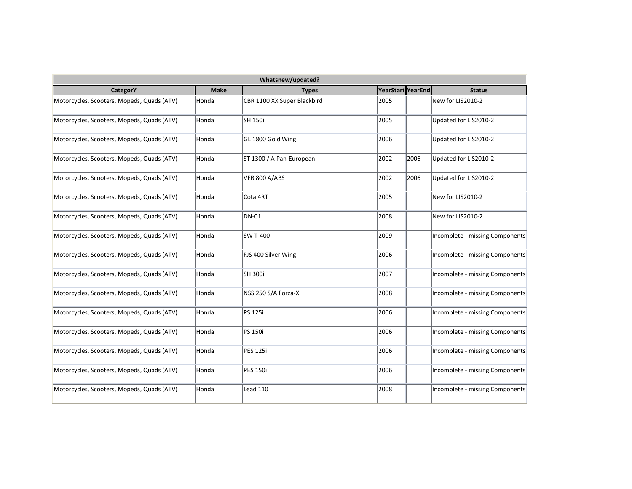|                                            |             | Whatsnew/updated?           |                   |      |                                 |
|--------------------------------------------|-------------|-----------------------------|-------------------|------|---------------------------------|
| <b>CategorY</b>                            | <b>Make</b> | <b>Types</b>                | YearStart YearEnd |      | <b>Status</b>                   |
| Motorcycles, Scooters, Mopeds, Quads (ATV) | Honda       | CBR 1100 XX Super Blackbird | 2005              |      | New for LIS2010-2               |
| Motorcycles, Scooters, Mopeds, Quads (ATV) | Honda       | SH 150i                     | 2005              |      | Updated for LIS2010-2           |
| Motorcycles, Scooters, Mopeds, Quads (ATV) | Honda       | GL 1800 Gold Wing           | 2006              |      | Updated for LIS2010-2           |
| Motorcycles, Scooters, Mopeds, Quads (ATV) | Honda       | ST 1300 / A Pan-European    | 2002              | 2006 | Updated for LIS2010-2           |
| Motorcycles, Scooters, Mopeds, Quads (ATV) | Honda       | VFR 800 A/ABS               | 2002              | 2006 | Updated for LIS2010-2           |
| Motorcycles, Scooters, Mopeds, Quads (ATV) | Honda       | Cota 4RT                    | 2005              |      | New for LIS2010-2               |
| Motorcycles, Scooters, Mopeds, Quads (ATV) | Honda       | DN-01                       | 2008              |      | New for LIS2010-2               |
| Motorcycles, Scooters, Mopeds, Quads (ATV) | Honda       | SW T-400                    | 2009              |      | Incomplete - missing Components |
| Motorcycles, Scooters, Mopeds, Quads (ATV) | Honda       | FJS 400 Silver Wing         | 2006              |      | Incomplete - missing Components |
| Motorcycles, Scooters, Mopeds, Quads (ATV) | Honda       | SH 300i                     | 2007              |      | Incomplete - missing Components |
| Motorcycles, Scooters, Mopeds, Quads (ATV) | Honda       | NSS 250 S/A Forza-X         | 2008              |      | Incomplete - missing Components |
| Motorcycles, Scooters, Mopeds, Quads (ATV) | Honda       | PS 125i                     | 2006              |      | Incomplete - missing Components |
| Motorcycles, Scooters, Mopeds, Quads (ATV) | Honda       | PS 150i                     | 2006              |      | Incomplete - missing Components |
| Motorcycles, Scooters, Mopeds, Quads (ATV) | Honda       | <b>PES 125i</b>             | 2006              |      | Incomplete - missing Components |
| Motorcycles, Scooters, Mopeds, Quads (ATV) | Honda       | <b>PES 150i</b>             | 2006              |      | Incomplete - missing Components |
| Motorcycles, Scooters, Mopeds, Quads (ATV) | Honda       | Lead 110                    | 2008              |      | Incomplete - missing Components |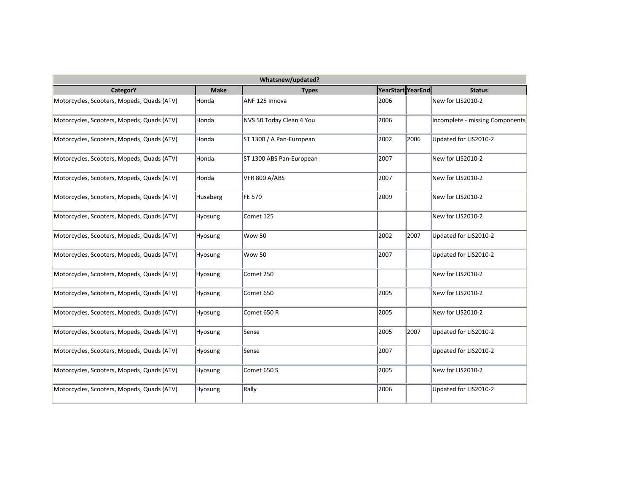| Whatsnew/updated?                          |             |                          |                   |      |                                 |  |  |  |
|--------------------------------------------|-------------|--------------------------|-------------------|------|---------------------------------|--|--|--|
| <b>CategorY</b>                            | <b>Make</b> | <b>Types</b>             | YearStart YearEnd |      | <b>Status</b>                   |  |  |  |
| Motorcycles, Scooters, Mopeds, Quads (ATV) | Honda       | ANF 125 Innova           | 2006              |      | New for LIS2010-2               |  |  |  |
| Motorcycles, Scooters, Mopeds, Quads (ATV) | Honda       | NVS 50 Today Clean 4 You | 2006              |      | Incomplete - missing Components |  |  |  |
| Motorcycles, Scooters, Mopeds, Quads (ATV) | Honda       | ST 1300 / A Pan-European | 2002              | 2006 | Updated for LIS2010-2           |  |  |  |
| Motorcycles, Scooters, Mopeds, Quads (ATV) | Honda       | ST 1300 ABS Pan-European | 2007              |      | New for LIS2010-2               |  |  |  |
| Motorcycles, Scooters, Mopeds, Quads (ATV) | Honda       | VFR 800 A/ABS            | 2007              |      | New for LIS2010-2               |  |  |  |
| Motorcycles, Scooters, Mopeds, Quads (ATV) | Husaberg    | FE 570                   | 2009              |      | New for LIS2010-2               |  |  |  |
| Motorcycles, Scooters, Mopeds, Quads (ATV) | Hyosung     | Comet 125                |                   |      | New for LIS2010-2               |  |  |  |
| Motorcycles, Scooters, Mopeds, Quads (ATV) | Hyosung     | <b>Wow 50</b>            | 2002              | 2007 | Updated for LIS2010-2           |  |  |  |
| Motorcycles, Scooters, Mopeds, Quads (ATV) | Hyosung     | <b>Wow 50</b>            | 2007              |      | Updated for LIS2010-2           |  |  |  |
| Motorcycles, Scooters, Mopeds, Quads (ATV) | Hyosung     | Comet 250                |                   |      | New for LIS2010-2               |  |  |  |
| Motorcycles, Scooters, Mopeds, Quads (ATV) | Hyosung     | Comet 650                | 2005              |      | New for LIS2010-2               |  |  |  |
| Motorcycles, Scooters, Mopeds, Quads (ATV) | Hyosung     | Comet 650 R              | 2005              |      | New for LIS2010-2               |  |  |  |
| Motorcycles, Scooters, Mopeds, Quads (ATV) | Hyosung     | Sense                    | 2005              | 2007 | Updated for LIS2010-2           |  |  |  |
| Motorcycles, Scooters, Mopeds, Quads (ATV) | Hyosung     | Sense                    | 2007              |      | Updated for LIS2010-2           |  |  |  |
| Motorcycles, Scooters, Mopeds, Quads (ATV) | Hyosung     | Comet 650 S              | 2005              |      | New for LIS2010-2               |  |  |  |
| Motorcycles, Scooters, Mopeds, Quads (ATV) | Hyosung     | Rally                    | 2006              |      | Updated for LIS2010-2           |  |  |  |